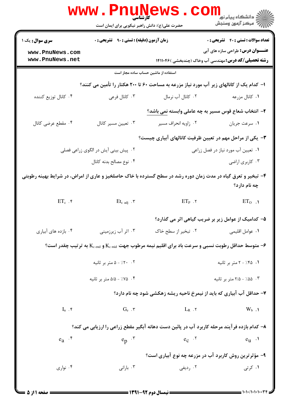|                                                                                                                                                                                                                                                                                                                               | WWW.PILUNG<br>حضرت علی(ع): دانش راهبر نیکویی برای ایمان است |                      | ڪ دانشڪاه پيام نور<br><mark>√</mark> مرڪز آزمون وسنڊش                                                                                         |  |
|-------------------------------------------------------------------------------------------------------------------------------------------------------------------------------------------------------------------------------------------------------------------------------------------------------------------------------|-------------------------------------------------------------|----------------------|-----------------------------------------------------------------------------------------------------------------------------------------------|--|
| <b>سری سوال :</b> یک ۱                                                                                                                                                                                                                                                                                                        | زمان آزمون (دقیقه) : تستی : ۹۰٪ تشریحی : ۰                  |                      | <b>تعداد سوالات : تستی : 40 - تشریحی : 0</b>                                                                                                  |  |
| www.PnuNews.com<br>www.PnuNews.net                                                                                                                                                                                                                                                                                            |                                                             |                      | <b>عنـــوان درس:</b> طراحی سازه های آبی<br><b>رشته تحصیلی/کد درس:</b> مهندسی آب وخاک (چندبخشی )۱۴۱۱۰۴۶                                        |  |
|                                                                                                                                                                                                                                                                                                                               | استفاده از ماشین حساب ساده مجاز است                         |                      |                                                                                                                                               |  |
|                                                                                                                                                                                                                                                                                                                               |                                                             |                      | ا– کدام یک از کانالهای زیر آب مورد نیاز مزرعه به مساحت ۶۰ تا ۲۰۰ هکتار را تأمین می کنند؟                                                      |  |
| ۰۴ كانال توزيع كننده                                                                                                                                                                                                                                                                                                          | ۰۳ کانال فرعی                                               | ۰۲ کانال آب نرمال    | ۰۱ کانال مزرعه                                                                                                                                |  |
|                                                                                                                                                                                                                                                                                                                               |                                                             |                      | ۲- انتخاب شعاع قوس مسیر به چه عاملی وابسته <u>نمی</u> باشد؟                                                                                   |  |
| ۰۴ مقطع عرضي كانال                                                                                                                                                                                                                                                                                                            | ۰۳ تعيين مسير كانال                                         | ۰۲ زاویه انحراف مسیر | ٠١ سرعت جريان                                                                                                                                 |  |
|                                                                                                                                                                                                                                                                                                                               |                                                             |                      | ۳- یکی از مراحل مهم در تعیین ظرفیت کانالهای آبیاری چیست؟                                                                                      |  |
|                                                                                                                                                                                                                                                                                                                               | ۰۲ پیش بینی آیش در الگوی زراعی فصلی                         |                      | ۰۱ تعیین آب مورد نیاز در فصل زراعی                                                                                                            |  |
|                                                                                                                                                                                                                                                                                                                               | ۰۴ نوع مصالح بدنه كانال                                     |                      | ۰۳ کاربری اراضی                                                                                                                               |  |
| ۴- تبخیر و تعرق گیاه در مدت زمان دوره رشد در سطح گسترده با خاک حاصلخیز و عاری از امراض، در شرایط بهینه رطوبتی<br>چه نام دارد؟                                                                                                                                                                                                 |                                                             |                      |                                                                                                                                               |  |
| $ET_c$ .۴                                                                                                                                                                                                                                                                                                                     | $Et_{c \text{ adj}}$ . ۳                                    | $ET_P$ . $\tau$      | $ET_0$ .                                                                                                                                      |  |
|                                                                                                                                                                                                                                                                                                                               |                                                             |                      | ۵– کدامیک از عوامل زیر بر ضریب گیاهی اثر می گذارد؟                                                                                            |  |
| ۰۴ بازده های آبیاری                                                                                                                                                                                                                                                                                                           | ۰۳ اثر آب زیرزمینی                                          | ۰۲ تبخیر از سطح خاک  | ٠١ عوامل اقليمي                                                                                                                               |  |
|                                                                                                                                                                                                                                                                                                                               |                                                             |                      | ۰۶ متوسط حداقل رطوبت نسبی و سرعت باد برای اقلیم نیمه مرطوب جهت $\rm K_{c\,{\rm \,mid}\,}$ و $\rm K_{c\,{\rm \,}(}$ به ترتیب چقدر است $\rm ^3$ |  |
|                                                                                                                                                                                                                                                                                                                               | ۰۲ - ۰٪/ - ۵ متر بر ثانیه                                   |                      | ۰۱ ۲۰٪ - ۲ متر بر ثانیه                                                                                                                       |  |
|                                                                                                                                                                                                                                                                                                                               | ۰۴ - ۵/۵ - ۵/۵ متر بر ثانیه                                 |                      | ۰۳ ۵۵٪ - ۲/۵ متر بر ثانیه                                                                                                                     |  |
|                                                                                                                                                                                                                                                                                                                               |                                                             |                      | ۷- حداقل آب آبیاری که باید از نیمرخ ناحیه ریشه زهکشی شود چه نام دارد؟                                                                         |  |
| $I_n$ .                                                                                                                                                                                                                                                                                                                       | $G_e$ . $\mathsf{r}$                                        | $L_R$ . $\tau$       | $W_b$ .                                                                                                                                       |  |
|                                                                                                                                                                                                                                                                                                                               |                                                             |                      | ۸– کدام بازده فرآیند مرحله کاربرد آب در پائین دست دهانه آبگیر مقطع زراعی را ارزیابی می کند؟                                                   |  |
| $e_a$ $\cdot$                                                                                                                                                                                                                                                                                                                 | $e_p$ $\cdot$                                               | $e_C$ $\cdot^7$      | $e_{u}$ .                                                                                                                                     |  |
|                                                                                                                                                                                                                                                                                                                               | ۹- مؤثرترین روش کاربرد آب در مزرعه چه نوع آبیاری است؟       |                      |                                                                                                                                               |  |
| ۰۴ نواری                                                                                                                                                                                                                                                                                                                      | ۰۳ بارانی                                                   | ۰۲ ردیفی             | ۰۱ کرتی                                                                                                                                       |  |
| $\frac{1}{2}$ = $\frac{1}{2}$ = $\frac{1}{2}$ = $\frac{1}{2}$ = $\frac{1}{2}$ = $\frac{1}{2}$ = $\frac{1}{2}$ = $\frac{1}{2}$ = $\frac{1}{2}$ = $\frac{1}{2}$ = $\frac{1}{2}$ = $\frac{1}{2}$ = $\frac{1}{2}$ = $\frac{1}{2}$ = $\frac{1}{2}$ = $\frac{1}{2}$ = $\frac{1}{2}$ = $\frac{1}{2}$ = $\frac{1$<br>= 1+1+/1+1+1++31 |                                                             |                      |                                                                                                                                               |  |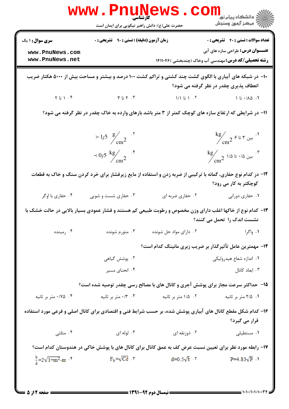| <b>سری سوال :</b> ۱ یک                           | <b>زمان آزمون (دقیقه) : تستی : ۹۰ قشریحی : 0</b>         |                                       | <b>تعداد سوالات : تستي : 40 - تشريحي : 0</b>                                                                                                       |  |
|--------------------------------------------------|----------------------------------------------------------|---------------------------------------|----------------------------------------------------------------------------------------------------------------------------------------------------|--|
| www.PnuNews.com                                  |                                                          |                                       | <b>عنـــوان درس:</b> طراحی سازه های آبی                                                                                                            |  |
| www.PnuNews.net                                  |                                                          |                                       | <b>رشته تحصیلی/کد درس:</b> مهندسی آب وخاک (چندبخشی )۱۴۱۱۰۴۶                                                                                        |  |
|                                                  |                                                          |                                       | ∙۱− در شبکه های آبیاری با الگوی کشت چند کشتی و تراکم کشت ۱۰۰ درصد و بیشتر و مساحت بیش از ۵۰۰۰ هکتار ضریب<br>انعطاف پذیری چقدر در نظر گرفته می شود؟ |  |
| $Y$ ا آنا $Y$                                    | $\mathsf{Y} \cup \mathsf{Y}$ . $\mathsf{Y}$              | $\mathcal{N}$ 1 تا $\mathcal{N}$      | ۰۱ ۱۵۰/۰۵ تا ۱                                                                                                                                     |  |
|                                                  |                                                          |                                       | 11- در شرایطی که ارتفاع سازه های کوچک کمتر از ۳ متر باشد بارهای وارده به خاک چقدر در نظر گرفته می شود؟                                             |  |
|                                                  | $>1/5 \frac{g}{cm^2}$ . <sup>7</sup>                     |                                       | $\operatorname{kg}_{\rm cm^2}$ بين ۳ تا ۶ ج $^2$                                                                                                   |  |
|                                                  | $\sim 0/5 \frac{\text{kg}}{\text{cm}^2}$ . f             |                                       | $\frac{\text{kg}}{\text{cm}^2}$ بين ۱/۵ تا ۱/۵ $\cdot$ /۳                                                                                          |  |
|                                                  |                                                          |                                       | ۱۲– در کدام نوع حفاری، گمانه با ترکیبی از ضربه زدن و استفاده از مایع زیرفشار برای خرد کردن سنگ و خاک به قطعات<br>کوچکتر به کار می رود؟             |  |
| ۰۴ حفاری با اوگر                                 | ۰۳ حفاری شست و شویی                                      | ۰۲ حفاري ضربه اي                      | ۰۱ حفاری دورانی                                                                                                                                    |  |
|                                                  |                                                          |                                       | ۱۳- کدام نوع از خاکها اغلب دارای وزن مخصوص و رطوبت طبیعی کم هستند و فشار عمودی بسیار بالایی در حالت خشک با<br>نشست اندک را تحمل می کنند؟           |  |
| ۰۴ رمبنده                                        | ۰۳ متورم شونده                                           | ۰۲ دارای مواد حل شونده                | ۰۱ واگرا                                                                                                                                           |  |
|                                                  | ۱۴- مهمترین عامل تأثیرگذار بر ضریب زبری مانینگ کدام است؟ |                                       |                                                                                                                                                    |  |
|                                                  | ۰۲ پوشش گیاهی                                            |                                       | ۰۱ اندازه شعاع هیدرولیکی                                                                                                                           |  |
|                                                  | ۰۴ انحنای مسیر                                           |                                       | ۰۳ ابعاد کانال                                                                                                                                     |  |
|                                                  |                                                          |                                       | ۱۵– حداکثر سرعت مجاز برای پوشش آجری و کانال های با مصالح رسی چقدر توصیه شده است؟                                                                   |  |
| ۰۴ ه/۰/۷۵ متر بر ثانیه                           | ۰/۳ ۰/۳ متر بر ثانیه                                     | ۰۲ ۱/۵ متر بر ثانیه                   | ۰۱ ۲/۵ متر بر ثانیه                                                                                                                                |  |
|                                                  |                                                          |                                       | ۱۶– کدام شکل مقطع کانال های آبیاری پوشش شده، بر حسب شرایط فنی و اقتصادی برای کانال اصلی و فرعی مورد استفاده<br>قرار می گیرد؟                       |  |
| ۰۴ مثلثی                                         | ۰۳ لوله ای                                               | ۰۲ ذوزنقه ای                          | ۰۱ مستطیلی                                                                                                                                         |  |
|                                                  |                                                          |                                       | ۱۷– رابطه مورد نظر برای تعیین نسبت عرض کف به عمق کانال برای کانال های با پوشش خاکی در هندوستان کدام است؟                                           |  |
| $\frac{b}{4}$ =2 $\sqrt{1+m^2}$ -m <sup>-1</sup> |                                                          | $F_b = \sqrt{Cd}$ r $d=0.5\sqrt{b}$ r | $P=4.83\sqrt{P}$ \                                                                                                                                 |  |

 $1.1.1.1.1.1$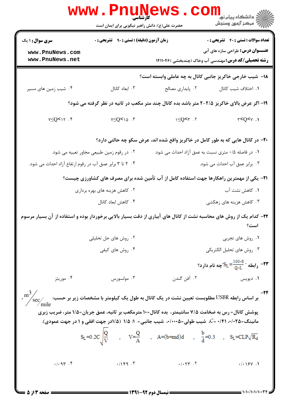|                                                                                                                                                 | www.Pnune<br>حضرت علی(ع): دانش راهبر نیکویی برای ایمان است |                                                                                                         | دانشڪاه پيام نور <mark>∟ .</mark><br> ∭ مرڪز آزمون وسنڊش                                               |  |
|-------------------------------------------------------------------------------------------------------------------------------------------------|------------------------------------------------------------|---------------------------------------------------------------------------------------------------------|--------------------------------------------------------------------------------------------------------|--|
| <b>سری سوال : ۱ یک</b>                                                                                                                          | زمان آزمون (دقیقه) : تستی : ۹۰٪ تشریحی : ۰                 |                                                                                                         | <b>تعداد سوالات : تستی : 40 - تشریحی : 0</b>                                                           |  |
| www.PnuNews.com<br>www.PnuNews.net                                                                                                              |                                                            |                                                                                                         | <b>عنـــوان درس:</b> طراحی سازه های آبی<br><b>رشته تحصیلی/کد درس:</b> مهندسی آب وخاک (چندبخشی )۱۴۱۱۰۴۶ |  |
|                                                                                                                                                 |                                                            | 1۸− شیب خارجی خاکریز جانبی کانال به چه عاملی وابسته است؟                                                |                                                                                                        |  |
| ۰۴ شیب زمین های مسیر                                                                                                                            | ۰۳ ابعاد کانال                                             | ۰۲ پایداری مصالح                                                                                        | ٠١. اختلاف شيب كانال                                                                                   |  |
|                                                                                                                                                 |                                                            | ۱۹- اگر عرض بالای خاکریز ۲/۵-۲ متر باشد بده کانال چند متر مکعب در ثانیه در نظر گرفته می شود؟            |                                                                                                        |  |
| $Y-SQ \leq Y \cdot Y$                                                                                                                           | $Y \leq Q \leq 10$ .                                       | $1 \le Q < r$ .                                                                                         | $r < Q < r$ .1                                                                                         |  |
| ۲۰- در کانال هایی که به طور کامل در خاکریز واقع شده اند، عرض سکو چه حالتی دارد؟                                                                 |                                                            |                                                                                                         |                                                                                                        |  |
|                                                                                                                                                 | ۰۲ در رقوم زمین طبیعی مجاور تعبیه می شود.                  | ۰۱ در فاصله ۰/۵ متری نسبت به عمق آزاد احداث می شود.                                                     |                                                                                                        |  |
| ۰۴ ۲ تا ۳ برابر عمق آب در رقوم ارتفاع آزاد احداث می شود.                                                                                        |                                                            |                                                                                                         | ۰۳ برابر عمق آب احداث می شود.                                                                          |  |
|                                                                                                                                                 |                                                            | <b>۲۱</b> – یکی از مهمترین راهکارها جهت استفاده کامل از آب تأمین شده برای مصرف های کشاورزی چیست؟        |                                                                                                        |  |
|                                                                                                                                                 | ۰۲ کاهش هزینه های بهره برداری                              |                                                                                                         | ۰۱ کاهش نشت آب                                                                                         |  |
|                                                                                                                                                 | ۰۴ کاهش ابعاد کانال                                        |                                                                                                         | ۰۳ کاهش هزینه های زهکشی                                                                                |  |
| ۲۲– کدام یک از روش های محاسبه نشت از کانال های آبیاری از دقت بسیار بالایی برخوردار بوده و استفاده از آن بسیار مرسوم                             |                                                            |                                                                                                         | است؟                                                                                                   |  |
|                                                                                                                                                 | ۰۲ روش های حل تحلیلی                                       |                                                                                                         | ۰۱ روش های تجربی                                                                                       |  |
|                                                                                                                                                 | ۰۴ روش های کیفی                                            |                                                                                                         | ۰۳ روش های تحلیل الکتریکی                                                                              |  |
|                                                                                                                                                 |                                                            |                                                                                                         | رابطه ″ $\rm{S_{L}}\text{=}\frac{100\times S}{\rm{O} \times L}$ ي مام دارد $\rm{C}$                    |  |
| ۰۴ موریتز                                                                                                                                       | ۰۳ مولسورس                                                 | ۰۲ آفن گندن                                                                                             | ۰۱ دیویس                                                                                               |  |
| $\rm{L}^{\rm{max}}_{\rm{sec}}$ بر اساس رابطه $\rm{USBR}$ مطلوبست تعیین نشت در یک کانال به طول یک کیلومتر با مشخصات زیر بر حسب: $\rm{C_{max}}$ ۰ |                                                            |                                                                                                         |                                                                                                        |  |
|                                                                                                                                                 |                                                            | پوشش کانال= رس به ضخامت ۷/۵ سانتیمتر، بده کانال=۱۰ مترمکعب بر ثانیه، عمق جریان=۱/۵ متر، ضریب زبری       |                                                                                                        |  |
|                                                                                                                                                 |                                                            | مانینگ=۲۰/۰۵، ۰/۰۲۵ =C. شیب طولی=۲۰۰۰۸، شیب جانبی= ۱: ۱/۵ (۱/۵در جهت افقی و ۱ در جهت عمودی).            |                                                                                                        |  |
|                                                                                                                                                 |                                                            | $S_L=0.2C \sqrt{\frac{Q}{V}}$ , $V=\frac{Q}{A}$ , $A=(b=md)d$ , $\frac{b}{d}=0.3$ , $S_L=CLP\sqrt{R_d}$ |                                                                                                        |  |
| .494.9                                                                                                                                          | .199.7                                                     | $\cdot$ / $\cdot$ $\uparrow$ $\uparrow$ $\uparrow$ $\uparrow$                                           | .1.191.1                                                                                               |  |
|                                                                                                                                                 |                                                            |                                                                                                         |                                                                                                        |  |

 $= 1.1 \cdot 1.1 \cdot 1.1 \cdot 1$ 

**= صفحه 3 از 5 =**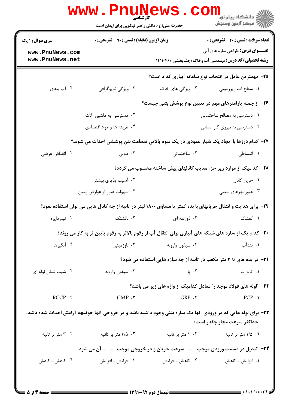|                                    | <b>www.Pnunews</b><br>حضرت علی(ع): دانش راهبر نیکویی برای ایمان است                                             |                   | ر دانشگاه پيام نور ■<br>دانشگاه پيام نور <mark>کن</mark> ش                                             |
|------------------------------------|-----------------------------------------------------------------------------------------------------------------|-------------------|--------------------------------------------------------------------------------------------------------|
| <b>سری سوال : ۱ یک</b>             | <b>زمان آزمون (دقیقه) : تستی : ۹۰٪ تشریحی : 0</b>                                                               |                   | <b>تعداد سوالات : تستی : 40 ٪ تشریحی : 0</b>                                                           |
| www.PnuNews.com<br>www.PnuNews.net |                                                                                                                 |                   | <b>عنـــوان درس:</b> طراحی سازه های آبی<br><b>رشته تحصیلی/کد درس:</b> مهندسی آب وخاک (چندبخشی )۱۴۱۱۰۴۶ |
|                                    |                                                                                                                 |                   | ۲۵– مهمترین عامل در انتخاب نوع سامانه آبیاری کدام است؟                                                 |
| ۰۴ آب بندی                         | ۰۳ ویژگی توپوگرافی                                                                                              | ۰۲ ویژگی های خاک  | ۰۱ سطح آب زیرزمینی                                                                                     |
|                                    |                                                                                                                 |                   | ۲۶– از جمله پارامترهای مهم در تعیین نوع پوشش بتنی چیست؟                                                |
|                                    | ۰۲ دسترسی به ماشین آلات                                                                                         |                   | ۰۱ دسترسی به مصالح ساختمانی                                                                            |
|                                    | ۰۴ هزینه ها و مواد اقتصادی                                                                                      |                   | ۰۳ دسترسی به نیروی کار انسانی                                                                          |
|                                    | <b>۲۷</b> - کدام درزها با ایجاد یک شیار عمودی در یک سوم بالایی ضخامت بتن پوششی احداث می شوند؟                   |                   |                                                                                                        |
| ۰۴ انقباض عرضي                     | ۰۳ طولی                                                                                                         | ۰۲ ساختمانی       | ٠١. انبساطى                                                                                            |
|                                    |                                                                                                                 |                   | ۲۸– کدامیک از موارد زیر جزء معایب کانالهای پیش ساخته محسوب می گردد؟                                    |
|                                    | ۰۲ آسیب پذیری بیشتر                                                                                             |                   | ۰۱ حریم کانال                                                                                          |
|                                    | ۰۴ سهولت عبور از عوارض زمين                                                                                     |                   | ۰۳ عبور نهرهای سنتی                                                                                    |
|                                    | ۲۹- برای هدایت و انتقال جریانهای با بده کمتر یا مساوی ۱۸۰۰ لیتر در ثانیه از چه کانال هایی می توان استفاده نمود؟ |                   |                                                                                                        |
| ۰۴ نیم دایره                       | ۰۳ بالشتک                                                                                                       | ۰۲ ذوزنقه ای      | ۰۱ کفشک                                                                                                |
|                                    | ۳۰– کدام یک از سازه های شبکه های آبیاری برای انتقال آب از رقوم بالاتر به رقوم پایین تر به کار می روند؟          |                   |                                                                                                        |
| ۰۴ آبگیرها                         | ۰۳ ناوزمینی                                                                                                     | ۰۲ سیفون وارونه   | ۰۱ تندآب                                                                                               |
|                                    |                                                                                                                 |                   | <b>۳۱</b> - در بده های تا ۳ متر مکعب در ثانیه از چه سازه هایی استفاده می شود؟                          |
| ۰۴ شیب شکن لوله ای                 | ۰۳ سیفون وارونه                                                                                                 | ۰۲ پل             | ۰۱ کالورت                                                                                              |
|                                    |                                                                                                                 |                   | ۳۲- آلوله های فولاد موجدار ؒ معادل کدامیک از واژه های زیر می باشد؟                                     |
| $RCCP .$ *                         | $CMP.$ $\mathsf{r}$                                                                                             | $GRP \cdot Y$     | PCP.1                                                                                                  |
|                                    | ۳۳- برای لوله هایی که در ورودی آنها یک سازه بتنی وجود داشته باشد و در خروجی آنها حوضچه آرامش احداث شده باشد،    |                   | حداكثر سرعت مجاز چقدر است؟                                                                             |
| ۰۴ متر بر ثانیه                    | ۰۳ متر بر ثانیه                                                                                                 | ۰۲ متر بر ثانیه   | ۰۱ ۱/۵ متر بر ثانیه                                                                                    |
|                                    | ۳۴- تبدیل در قسمت ورودی موجب  سرعت جریان و در خروجی موجب  آن می شود.                                            |                   |                                                                                                        |
| ۰۴ کاهش ــ کاهش                    | ۰۳ افزایش ـ افزایش                                                                                              | ۰۲ کاهش ــ افزايش | ۰۱ افزایش ــ کاهش                                                                                      |
|                                    |                                                                                                                 |                   |                                                                                                        |

 $\blacksquare$  )  $\cdot$  )  $\cdot$  / )  $\cdot$  )  $\cdot$   $\cdot$